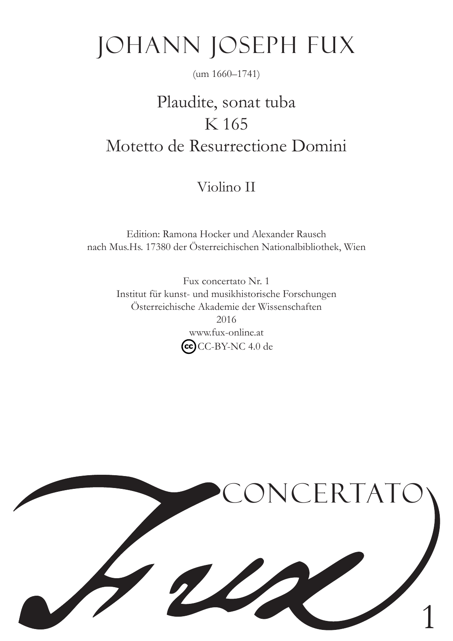# Johann Joseph Fux

#### (um 1660–1741)

# Plaudite, sonat tuba K 165 Motetto de Resurrectione Domini

## Violino II

Edition: Ramona Hocker und Alexander Rausch nach Mus.Hs. 17380 der Österreichischen Nationalbibliothek, Wien

> Fux concertato Nr. 1 Institut für kunst- und musikhistorische Forschungen Österreichische Akademie der Wissenschaften 2016 www.fux-online.at  $\left(\overline{\text{cc}}\right)$ CC-BY-NC 4.0 de

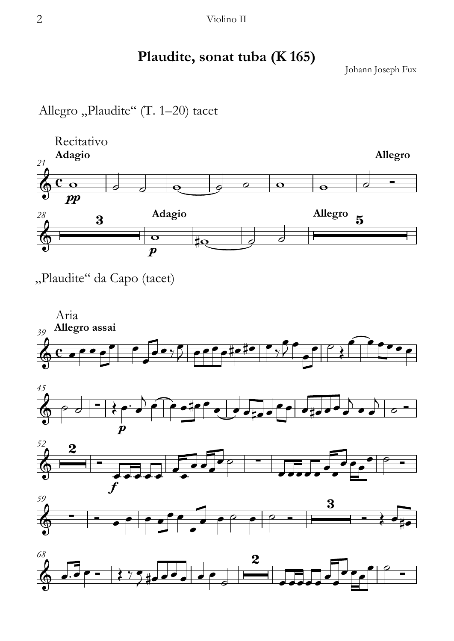2 Violino II

### **Plaudite, sonat tuba (K 165)**

Johann Joseph Fux

Allegro "Plaudite" (T. 1-20) tacet



"Plaudite" da Capo (tacet)



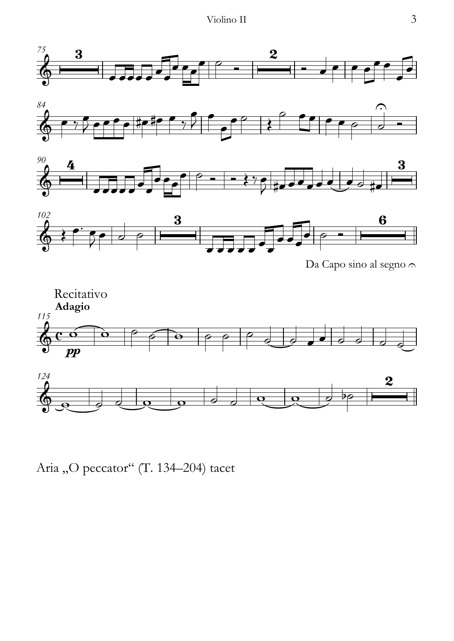







Da Capo sino al segno  $\cap$ 



Aria "O peccator" (T. 134-204) tacet